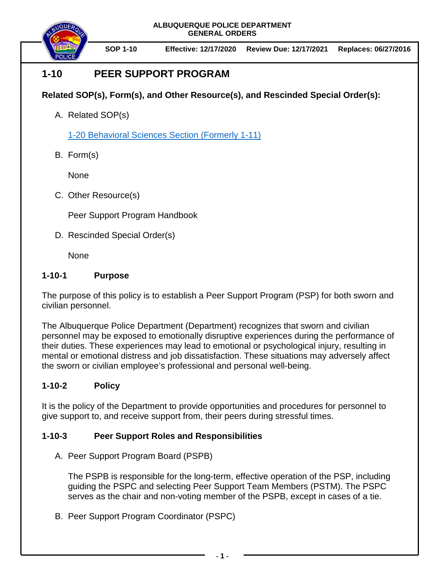**ALBUQUERQUE POLICE DEPARTMENT GENERAL ORDERS**



**SOP 1-10 Effective: 12/17/2020 Review Due: 12/17/2021 Replaces: 06/27/2016**

# **1-10 PEER SUPPORT PROGRAM**

# **Related SOP(s), Form(s), and Other Resource(s), and Rescinded Special Order(s):**

A. Related SOP(s)

1-20 [Behavioral Sciences Section](https://powerdms.com/docs/38?q=1-20) (Formerly 1-11)

B. Form(s)

None

C. Other Resource(s)

Peer Support Program Handbook

D. Rescinded Special Order(s)

None

## **1-10-1 Purpose**

The purpose of this policy is to establish a Peer Support Program (PSP) for both sworn and civilian personnel.

The Albuquerque Police Department (Department) recognizes that sworn and civilian personnel may be exposed to emotionally disruptive experiences during the performance of their duties. These experiences may lead to emotional or psychological injury, resulting in mental or emotional distress and job dissatisfaction. These situations may adversely affect the sworn or civilian employee's professional and personal well-being.

# **1-10-2 Policy**

It is the policy of the Department to provide opportunities and procedures for personnel to give support to, and receive support from, their peers during stressful times.

## **1-10-3 Peer Support Roles and Responsibilities**

A. Peer Support Program Board (PSPB)

The PSPB is responsible for the long-term, effective operation of the PSP, including guiding the PSPC and selecting Peer Support Team Members (PSTM). The PSPC serves as the chair and non-voting member of the PSPB, except in cases of a tie.

B. Peer Support Program Coordinator (PSPC)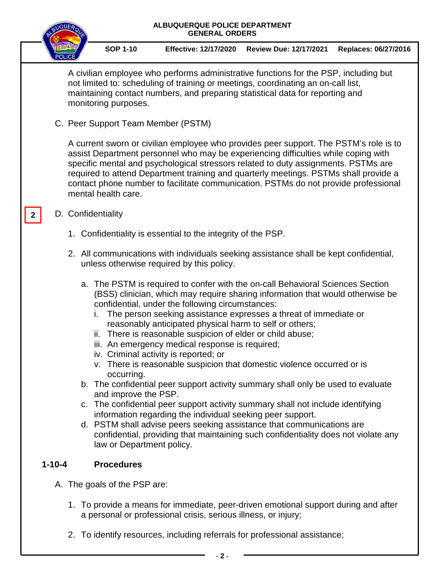|                                                                                                                                                                                                                                                                                                                                                                                                                                                                         | ALBUQUERQUE POLICE DEPARTMENT<br><b>GENERAL ORDERS</b>                                                                                                                                                                                   |                                                                                                                                                                                                                                                                                    |                                                                 |                                                                                                                                                                                                                                                                                                                                     |                                                                                                                                                                                                                                                                                                                                                                                                                                                                                                                                                                                                                                                      |                      |  |
|-------------------------------------------------------------------------------------------------------------------------------------------------------------------------------------------------------------------------------------------------------------------------------------------------------------------------------------------------------------------------------------------------------------------------------------------------------------------------|------------------------------------------------------------------------------------------------------------------------------------------------------------------------------------------------------------------------------------------|------------------------------------------------------------------------------------------------------------------------------------------------------------------------------------------------------------------------------------------------------------------------------------|-----------------------------------------------------------------|-------------------------------------------------------------------------------------------------------------------------------------------------------------------------------------------------------------------------------------------------------------------------------------------------------------------------------------|------------------------------------------------------------------------------------------------------------------------------------------------------------------------------------------------------------------------------------------------------------------------------------------------------------------------------------------------------------------------------------------------------------------------------------------------------------------------------------------------------------------------------------------------------------------------------------------------------------------------------------------------------|----------------------|--|
|                                                                                                                                                                                                                                                                                                                                                                                                                                                                         |                                                                                                                                                                                                                                          |                                                                                                                                                                                                                                                                                    | <b>SOP 1-10</b>                                                 | <b>Effective: 12/17/2020</b>                                                                                                                                                                                                                                                                                                        | <b>Review Due: 12/17/2021</b>                                                                                                                                                                                                                                                                                                                                                                                                                                                                                                                                                                                                                        | Replaces: 06/27/2016 |  |
|                                                                                                                                                                                                                                                                                                                                                                                                                                                                         |                                                                                                                                                                                                                                          | A civilian employee who performs administrative functions for the PSP, including but<br>not limited to: scheduling of training or meetings, coordinating an on-call list,<br>maintaining contact numbers, and preparing statistical data for reporting and<br>monitoring purposes. |                                                                 |                                                                                                                                                                                                                                                                                                                                     |                                                                                                                                                                                                                                                                                                                                                                                                                                                                                                                                                                                                                                                      |                      |  |
|                                                                                                                                                                                                                                                                                                                                                                                                                                                                         |                                                                                                                                                                                                                                          | C. Peer Support Team Member (PSTM)                                                                                                                                                                                                                                                 |                                                                 |                                                                                                                                                                                                                                                                                                                                     |                                                                                                                                                                                                                                                                                                                                                                                                                                                                                                                                                                                                                                                      |                      |  |
| A current sworn or civilian employee who provides peer support. The PSTM's role is to<br>assist Department personnel who may be experiencing difficulties while coping with<br>specific mental and psychological stressors related to duty assignments. PSTMs are<br>required to attend Department training and quarterly meetings. PSTMs shall provide a<br>contact phone number to facilitate communication. PSTMs do not provide professional<br>mental health care. |                                                                                                                                                                                                                                          |                                                                                                                                                                                                                                                                                    |                                                                 |                                                                                                                                                                                                                                                                                                                                     |                                                                                                                                                                                                                                                                                                                                                                                                                                                                                                                                                                                                                                                      |                      |  |
|                                                                                                                                                                                                                                                                                                                                                                                                                                                                         | D. Confidentiality<br>$\mathbf{2}$<br>1. Confidentiality is essential to the integrity of the PSP.<br>2. All communications with individuals seeking assistance shall be kept confidential,<br>unless otherwise required by this policy. |                                                                                                                                                                                                                                                                                    |                                                                 |                                                                                                                                                                                                                                                                                                                                     |                                                                                                                                                                                                                                                                                                                                                                                                                                                                                                                                                                                                                                                      |                      |  |
|                                                                                                                                                                                                                                                                                                                                                                                                                                                                         |                                                                                                                                                                                                                                          |                                                                                                                                                                                                                                                                                    |                                                                 |                                                                                                                                                                                                                                                                                                                                     |                                                                                                                                                                                                                                                                                                                                                                                                                                                                                                                                                                                                                                                      |                      |  |
|                                                                                                                                                                                                                                                                                                                                                                                                                                                                         |                                                                                                                                                                                                                                          |                                                                                                                                                                                                                                                                                    |                                                                 |                                                                                                                                                                                                                                                                                                                                     |                                                                                                                                                                                                                                                                                                                                                                                                                                                                                                                                                                                                                                                      |                      |  |
|                                                                                                                                                                                                                                                                                                                                                                                                                                                                         |                                                                                                                                                                                                                                          |                                                                                                                                                                                                                                                                                    | occurring.<br>and improve the PSP.<br>law or Department policy. | confidential, under the following circumstances:<br>reasonably anticipated physical harm to self or others;<br>ii. There is reasonable suspicion of elder or child abuse;<br>iii. An emergency medical response is required;<br>iv. Criminal activity is reported; or<br>information regarding the individual seeking peer support. | a. The PSTM is required to confer with the on-call Behavioral Sciences Section<br>(BSS) clinician, which may require sharing information that would otherwise be<br>The person seeking assistance expresses a threat of immediate or<br>v. There is reasonable suspicion that domestic violence occurred or is<br>b. The confidential peer support activity summary shall only be used to evaluate<br>c. The confidential peer support activity summary shall not include identifying<br>d. PSTM shall advise peers seeking assistance that communications are<br>confidential, providing that maintaining such confidentiality does not violate any |                      |  |
|                                                                                                                                                                                                                                                                                                                                                                                                                                                                         | $1 - 10 - 4$                                                                                                                                                                                                                             |                                                                                                                                                                                                                                                                                    | <b>Procedures</b>                                               |                                                                                                                                                                                                                                                                                                                                     |                                                                                                                                                                                                                                                                                                                                                                                                                                                                                                                                                                                                                                                      |                      |  |
|                                                                                                                                                                                                                                                                                                                                                                                                                                                                         |                                                                                                                                                                                                                                          |                                                                                                                                                                                                                                                                                    |                                                                 | A. The goals of the PSP are:                                                                                                                                                                                                                                                                                                        |                                                                                                                                                                                                                                                                                                                                                                                                                                                                                                                                                                                                                                                      |                      |  |
|                                                                                                                                                                                                                                                                                                                                                                                                                                                                         |                                                                                                                                                                                                                                          | 1. To provide a means for immediate, peer-driven emotional support during and after<br>a personal or professional crisis, serious illness, or injury;                                                                                                                              |                                                                 |                                                                                                                                                                                                                                                                                                                                     |                                                                                                                                                                                                                                                                                                                                                                                                                                                                                                                                                                                                                                                      |                      |  |
|                                                                                                                                                                                                                                                                                                                                                                                                                                                                         |                                                                                                                                                                                                                                          |                                                                                                                                                                                                                                                                                    |                                                                 |                                                                                                                                                                                                                                                                                                                                     | 2. To identify resources, including referrals for professional assistance;                                                                                                                                                                                                                                                                                                                                                                                                                                                                                                                                                                           |                      |  |

—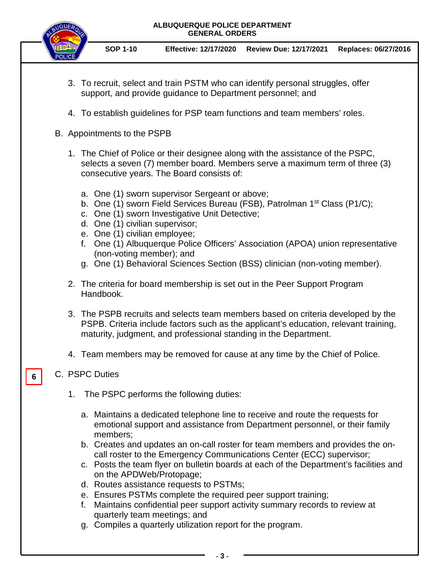#### **ALBUQUERQUE POLICE DEPARTMENT GENERAL ORDERS**



**SOP 1-10 Effective: 12/17/2020 Review Due: 12/17/2021 Replaces: 06/27/2016**

- 3. To recruit, select and train PSTM who can identify personal struggles, offer support, and provide guidance to Department personnel; and
- 4. To establish guidelines for PSP team functions and team members' roles.
- B. Appointments to the PSPB
	- 1. The Chief of Police or their designee along with the assistance of the PSPC, selects a seven (7) member board. Members serve a maximum term of three (3) consecutive years. The Board consists of:
		- a. One (1) sworn supervisor Sergeant or above;
		- b. One (1) sworn Field Services Bureau (FSB), Patrolman 1<sup>st</sup> Class (P1/C);
		- c. One (1) sworn Investigative Unit Detective;
		- d. One (1) civilian supervisor;
		- e. One (1) civilian employee;
		- f. One (1) Albuquerque Police Officers' Association (APOA) union representative (non-voting member); and
		- g. One (1) Behavioral Sciences Section (BSS) clinician (non-voting member).
	- 2. The criteria for board membership is set out in the Peer Support Program Handbook.
	- 3. The PSPB recruits and selects team members based on criteria developed by the PSPB. Criteria include factors such as the applicant's education, relevant training, maturity, judgment, and professional standing in the Department.
	- 4. Team members may be removed for cause at any time by the Chief of Police.

#### C. PSPC Duties

**6**

- 1. The PSPC performs the following duties:
	- a. Maintains a dedicated telephone line to receive and route the requests for emotional support and assistance from Department personnel, or their family members;
	- b. Creates and updates an on-call roster for team members and provides the oncall roster to the Emergency Communications Center (ECC) supervisor;
	- c. Posts the team flyer on bulletin boards at each of the Department's facilities and on the APDWeb/Protopage;
	- d. Routes assistance requests to PSTMs;
	- e. Ensures PSTMs complete the required peer support training;
	- f. Maintains confidential peer support activity summary records to review at quarterly team meetings; and
	- g. Compiles a quarterly utilization report for the program.